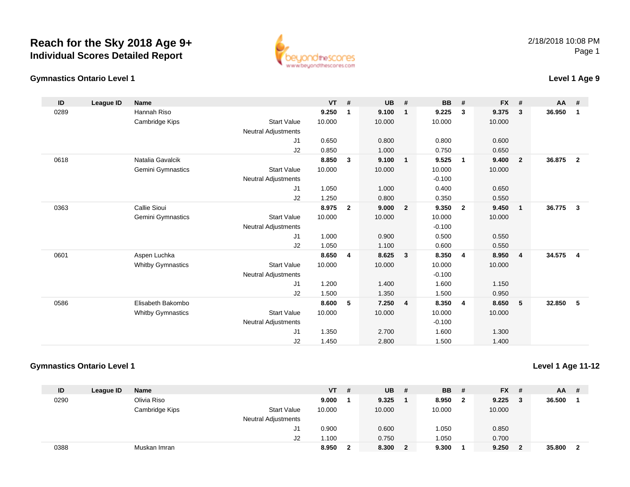## **Reach for the Sky 2018 Age 9+Individual Scores Detailed Report**

## **Gymnastics Ontario Level 1Level 1 Age 9**

| ID   | League ID | Name                     |                            | <b>VT</b> | #              | <b>UB</b> | #              | <b>BB</b> | #                       | <b>FX</b> | #            | AA #   |                |
|------|-----------|--------------------------|----------------------------|-----------|----------------|-----------|----------------|-----------|-------------------------|-----------|--------------|--------|----------------|
| 0289 |           | Hannah Riso              |                            | 9.250     | $\mathbf{1}$   | 9.100     | $\mathbf{1}$   | 9.225     | 3                       | 9.375     | 3            | 36.950 | 1              |
|      |           | Cambridge Kips           | <b>Start Value</b>         | 10.000    |                | 10.000    |                | 10.000    |                         | 10.000    |              |        |                |
|      |           |                          | Neutral Adjustments        |           |                |           |                |           |                         |           |              |        |                |
|      |           |                          | J <sub>1</sub>             | 0.650     |                | 0.800     |                | 0.800     |                         | 0.600     |              |        |                |
|      |           |                          | J2                         | 0.850     |                | 1.000     |                | 0.750     |                         | 0.650     |              |        |                |
| 0618 |           | Natalia Gavalcik         |                            | 8.850     | $\mathbf{3}$   | 9.100     | $\overline{1}$ | 9.525     | $\mathbf{1}$            | 9.400     | $\mathbf{2}$ | 36.875 | $\overline{2}$ |
|      |           | Gemini Gymnastics        | <b>Start Value</b>         | 10.000    |                | 10.000    |                | 10.000    |                         | 10.000    |              |        |                |
|      |           |                          | Neutral Adjustments        |           |                |           |                | $-0.100$  |                         |           |              |        |                |
|      |           |                          | J <sub>1</sub>             | 1.050     |                | 1.000     |                | 0.400     |                         | 0.650     |              |        |                |
|      |           |                          | J2                         | 1.250     |                | 0.800     |                | 0.350     |                         | 0.550     |              |        |                |
| 0363 |           | Callie Sioui             |                            | 8.975     | $\overline{2}$ | 9.000     | $\overline{2}$ | 9.350     | $\overline{\mathbf{2}}$ | 9.450     | $\mathbf{1}$ | 36.775 | 3              |
|      |           | Gemini Gymnastics        | <b>Start Value</b>         | 10.000    |                | 10.000    |                | 10.000    |                         | 10.000    |              |        |                |
|      |           |                          | Neutral Adjustments        |           |                |           |                | $-0.100$  |                         |           |              |        |                |
|      |           |                          | J <sub>1</sub>             | 1.000     |                | 0.900     |                | 0.500     |                         | 0.550     |              |        |                |
|      |           |                          | J2                         | 1.050     |                | 1.100     |                | 0.600     |                         | 0.550     |              |        |                |
| 0601 |           | Aspen Luchka             |                            | 8.650     | $\overline{4}$ | 8.625     | 3              | 8.350     | $\overline{4}$          | 8.950     | 4            | 34.575 | 4              |
|      |           | <b>Whitby Gymnastics</b> | <b>Start Value</b>         | 10.000    |                | 10.000    |                | 10.000    |                         | 10.000    |              |        |                |
|      |           |                          | Neutral Adjustments        |           |                |           |                | $-0.100$  |                         |           |              |        |                |
|      |           |                          | J <sub>1</sub>             | 1.200     |                | 1.400     |                | 1.600     |                         | 1.150     |              |        |                |
|      |           |                          | J2                         | 1.500     |                | 1.350     |                | 1.500     |                         | 0.950     |              |        |                |
| 0586 |           | Elisabeth Bakombo        |                            | 8.600     | 5              | 7.250     | $\overline{4}$ | 8.350     | $\overline{4}$          | 8.650     | 5            | 32.850 | 5              |
|      |           | <b>Whitby Gymnastics</b> | <b>Start Value</b>         | 10.000    |                | 10.000    |                | 10.000    |                         | 10.000    |              |        |                |
|      |           |                          | <b>Neutral Adjustments</b> |           |                |           |                | $-0.100$  |                         |           |              |        |                |
|      |           |                          | J1                         | 1.350     |                | 2.700     |                | 1.600     |                         | 1.300     |              |        |                |

## **Gymnastics Ontario Level 1**

| Level 1 Age 11-12 |
|-------------------|
|-------------------|

| ID   | League ID | <b>Name</b>    |                            | $VT$ # |   | <b>UB</b> | -#           | <b>BB</b> | #                       | <b>FX</b> | - # | <b>AA</b> | -# |
|------|-----------|----------------|----------------------------|--------|---|-----------|--------------|-----------|-------------------------|-----------|-----|-----------|----|
| 0290 |           | Olivia Riso    |                            | 9.000  |   | 9.325     |              | 8.950     | $\overline{\mathbf{2}}$ | 9.225     | - 3 | 36.500    |    |
|      |           | Cambridge Kips | <b>Start Value</b>         | 10.000 |   | 10.000    |              | 10.000    |                         | 10.000    |     |           |    |
|      |           |                | <b>Neutral Adjustments</b> |        |   |           |              |           |                         |           |     |           |    |
|      |           |                | J1                         | 0.900  |   | 0.600     |              | 1.050     |                         | 0.850     |     |           |    |
|      |           |                | J2                         | 1.100  |   | 0.750     |              | 1.050     |                         | 0.700     |     |           |    |
| 0388 |           | Muskan Imran   |                            | 8.950  | ົ | 8.300     | $\mathbf{2}$ | 9.300     |                         | 9.250     |     | 35.800    |    |

1.450 2.800 1.500 1.400

J2